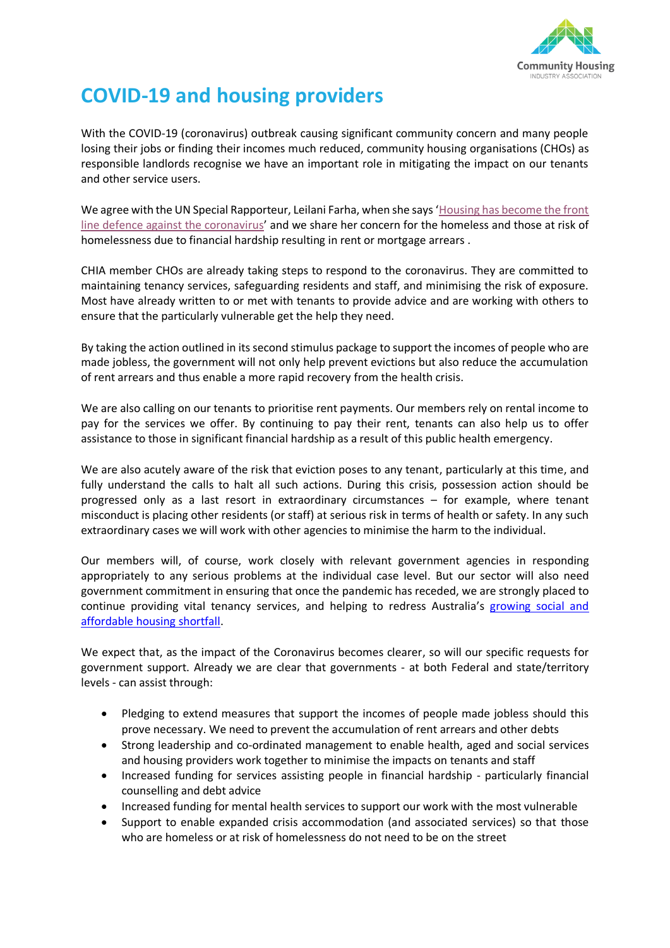

## **COVID-19 and housing providers**

With the COVID-19 (coronavirus) outbreak causing significant community concern and many people losing their jobs or finding their incomes much reduced, community housing organisations (CHOs) as responsible landlords recognise we have an important role in mitigating the impact on our tenants and other service users.

We agree with the UN Special Rapporteur, Leilani Farha, when she says '[Housing has become the front](https://www.un.org/en/un-coronavirus-communications-team/united-nations-tackles-covid-19-threat-multiple-fronts)  [line defence against the coronavirus](https://www.un.org/en/un-coronavirus-communications-team/united-nations-tackles-covid-19-threat-multiple-fronts)' and we share her concern for the homeless and those at risk of homelessness due to financial hardship resulting in rent or mortgage arrears .

CHIA member CHOs are already taking steps to respond to the coronavirus. They are committed to maintaining tenancy services, safeguarding residents and staff, and minimising the risk of exposure. Most have already written to or met with tenants to provide advice and are working with others to ensure that the particularly vulnerable get the help they need.

By taking the action outlined in its second stimulus package to support the incomes of people who are made jobless, the government will not only help prevent evictions but also reduce the accumulation of rent arrears and thus enable a more rapid recovery from the health crisis.

We are also calling on our tenants to prioritise rent payments. Our members rely on rental income to pay for the services we offer. By continuing to pay their rent, tenants can also help us to offer assistance to those in significant financial hardship as a result of this public health emergency.

We are also acutely aware of the risk that eviction poses to any tenant, particularly at this time, and fully understand the calls to halt all such actions. During this crisis, possession action should be progressed only as a last resort in extraordinary circumstances – for example, where tenant misconduct is placing other residents (or staff) at serious risk in terms of health or safety. In any such extraordinary cases we will work with other agencies to minimise the harm to the individual.

Our members will, of course, work closely with relevant government agencies in responding appropriately to any serious problems at the individual case level. But our sector will also need government commitment in ensuring that once the pandemic has receded, we are strongly placed to continue providing vital tenancy services, and helping to redress Australia's [growing social and](https://www.ahuri.edu.au/__data/assets/pdf_file/0024/53619/AHURI-Final-Report-323-The-supply-of-affordable-private-rental-housing-in-Australian-cities-short-term-and-longer-term-changes.pdf)  [affordable housing](https://www.ahuri.edu.au/__data/assets/pdf_file/0024/53619/AHURI-Final-Report-323-The-supply-of-affordable-private-rental-housing-in-Australian-cities-short-term-and-longer-term-changes.pdf) shortfall.

We expect that, as the impact of the Coronavirus becomes clearer, so will our specific requests for government support. Already we are clear that governments - at both Federal and state/territory levels - can assist through:

- Pledging to extend measures that support the incomes of people made jobless should this prove necessary. We need to prevent the accumulation of rent arrears and other debts
- Strong leadership and co-ordinated management to enable health, aged and social services and housing providers work together to minimise the impacts on tenants and staff
- Increased funding for services assisting people in financial hardship particularly financial counselling and debt advice
- Increased funding for mental health services to support our work with the most vulnerable
- Support to enable expanded crisis accommodation (and associated services) so that those who are homeless or at risk of homelessness do not need to be on the street